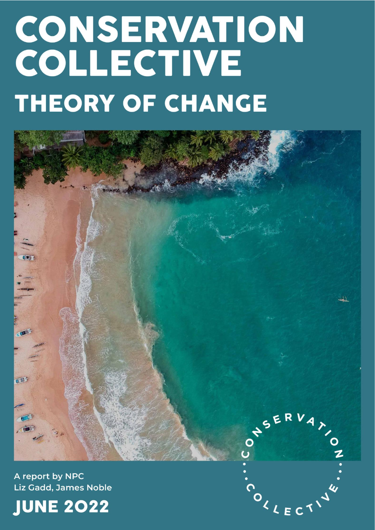# CONSERVATION<br>COLLECTIVE **THEORY OF CHANGE**



A report by NPC Liz Gadd, James Noble



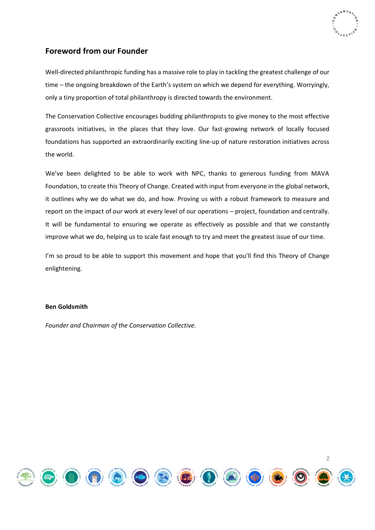

# <span id="page-1-0"></span>**Foreword from our Founder**

Well-directed philanthropic funding has a massive role to play in tackling the greatest challenge of our time – the ongoing breakdown of the Earth's system on which we depend for everything. Worryingly, only a tiny proportion of total philanthropy is directed towards the environment.

The Conservation Collective encourages budding philanthropists to give money to the most effective grassroots initiatives, in the places that they love. Our fast-growing network of locally focused foundations has supported an extraordinarily exciting line-up of nature restoration initiatives across the world.

We've been delighted to be able to work with NPC, thanks to generous funding from MAVA Foundation, to create this Theory of Change. Created with input from everyone in the global network, it outlines why we do what we do, and how. Proving us with a robust framework to measure and report on the impact of our work at every level of our operations – project, foundation and centrally. It will be fundamental to ensuring we operate as effectively as possible and that we constantly improve what we do, helping us to scale fast enough to try and meet the greatest issue of our time.

I'm so proud to be able to support this movement and hope that you'll find this Theory of Change enlightening.

# **Ben Goldsmith**

*Founder and Chairman of the Conservation Collective.*

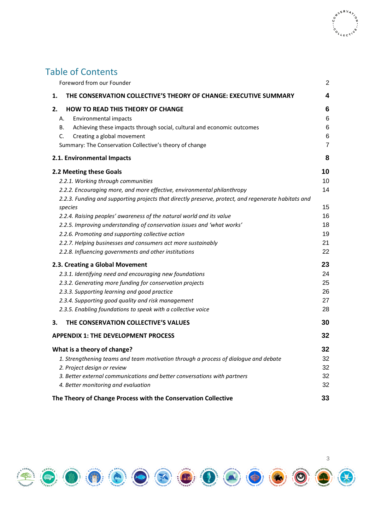# Table of Contents

| Foreword from our Founder                                                                                                                                                                                                                                                                                                                                                                                                                                                                                                                                                                  | 2                                                  |
|--------------------------------------------------------------------------------------------------------------------------------------------------------------------------------------------------------------------------------------------------------------------------------------------------------------------------------------------------------------------------------------------------------------------------------------------------------------------------------------------------------------------------------------------------------------------------------------------|----------------------------------------------------|
| THE CONSERVATION COLLECTIVE'S THEORY OF CHANGE: EXECUTIVE SUMMARY<br>1.                                                                                                                                                                                                                                                                                                                                                                                                                                                                                                                    | 4                                                  |
| <b>HOW TO READ THIS THEORY OF CHANGE</b><br>2.<br>Environmental impacts<br>А.<br>В.<br>Achieving these impacts through social, cultural and economic outcomes<br>C.<br>Creating a global movement<br>Summary: The Conservation Collective's theory of change                                                                                                                                                                                                                                                                                                                               | 6<br>6<br>6<br>6<br>7                              |
| 2.1. Environmental Impacts                                                                                                                                                                                                                                                                                                                                                                                                                                                                                                                                                                 | 8                                                  |
| 2.2 Meeting these Goals<br>2.2.1. Working through communities<br>2.2.2. Encouraging more, and more effective, environmental philanthropy<br>2.2.3. Funding and supporting projects that directly preserve, protect, and regenerate habitats and<br>species<br>2.2.4. Raising peoples' awareness of the natural world and its value<br>2.2.5. Improving understanding of conservation issues and 'what works'<br>2.2.6. Promoting and supporting collective action<br>2.2.7. Helping businesses and consumers act more sustainably<br>2.2.8. Influencing governments and other institutions | 10<br>10<br>14<br>15<br>16<br>18<br>19<br>21<br>22 |
| 2.3. Creating a Global Movement<br>2.3.1. Identifying need and encouraging new foundations<br>2.3.2. Generating more funding for conservation projects<br>2.3.3. Supporting learning and good practice<br>2.3.4. Supporting good quality and risk management<br>2.3.5. Enabling foundations to speak with a collective voice                                                                                                                                                                                                                                                               | 23<br>24<br>25<br>26<br>27<br>28                   |
| THE CONSERVATION COLLECTIVE'S VALUES<br>3.                                                                                                                                                                                                                                                                                                                                                                                                                                                                                                                                                 | 30                                                 |
| <b>APPENDIX 1: THE DEVELOPMENT PROCESS</b>                                                                                                                                                                                                                                                                                                                                                                                                                                                                                                                                                 | 32                                                 |
| What is a theory of change?<br>1. Strengthening teams and team motivation through a process of dialogue and debate<br>2. Project design or review<br>3. Better external communications and better conversations with partners<br>4. Better monitoring and evaluation<br>The Theory of Change Process with the Conservation Collective                                                                                                                                                                                                                                                      | 32<br>32<br>32<br>32<br>32<br>33                   |

OVSERVA

COLLECT

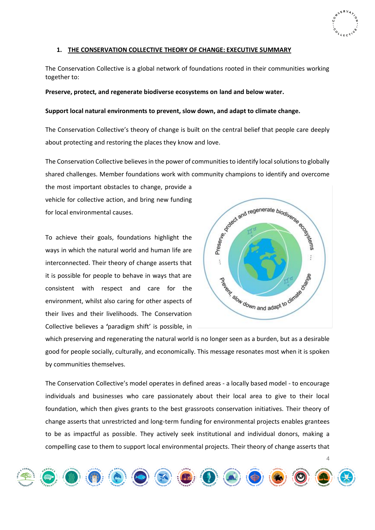### <span id="page-3-0"></span>**1. THE CONSERVATION COLLECTIVE THEORY OF CHANGE: EXECUTIVE SUMMARY**

The Conservation Collective is a global network of foundations rooted in their communities working together to:

### **Preserve, protect, and regenerate biodiverse ecosystems on land and below water.**

### **Support local natural environments to prevent, slow down, and adapt to climate change.**

The Conservation Collective's theory of change is built on the central belief that people care deeply about protecting and restoring the places they know and love.

The Conservation Collective believes in the power of communitiesto identify local solutions to globally shared challenges. Member foundations work with community champions to identify and overcome

the most important obstacles to change, provide a vehicle for collective action, and bring new funding for local environmental causes.

To achieve their goals, foundations highlight the ways in which the natural world and human life are interconnected. Their theory of change asserts that it is possible for people to behave in ways that are consistent with respect and care for the environment, whilst also caring for other aspects of their lives and their livelihoods. The Conservation Collective believes a **'**paradigm shift' is possible, in



4

which preserving and regenerating the natural world is no longer seen as a burden, but as a desirable good for people socially, culturally, and economically. This message resonates most when it is spoken by communities themselves.

The Conservation Collective's model operates in defined areas - a locally based model - to encourage individuals and businesses who care passionately about their local area to give to their local foundation, which then gives grants to the best grassroots conservation initiatives. Their theory of change asserts that unrestricted and long-term funding for environmental projects enables grantees to be as impactful as possible. They actively seek institutional and individual donors, making a compelling case to them to support local environmental projects. Their theory of change asserts that

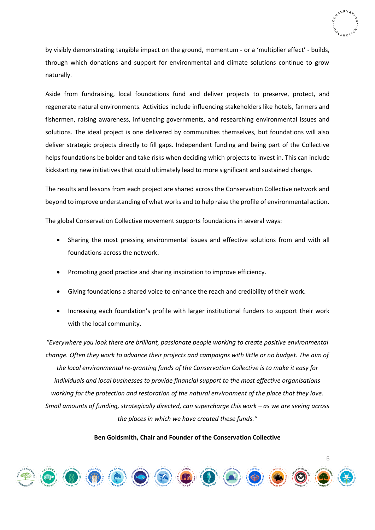

by visibly demonstrating tangible impact on the ground, momentum - or a 'multiplier effect' - builds, through which donations and support for environmental and climate solutions continue to grow naturally.

Aside from fundraising, local foundations fund and deliver projects to preserve, protect, and regenerate natural environments. Activities include influencing stakeholders like hotels, farmers and fishermen, raising awareness, influencing governments, and researching environmental issues and solutions. The ideal project is one delivered by communities themselves, but foundations will also deliver strategic projects directly to fill gaps. Independent funding and being part of the Collective helps foundations be bolder and take risks when deciding which projects to invest in. This can include kickstarting new initiatives that could ultimately lead to more significant and sustained change.

The results and lessons from each project are shared across the Conservation Collective network and beyond to improve understanding of what works and to help raise the profile of environmental action.

The global Conservation Collective movement supports foundations in several ways:

- Sharing the most pressing environmental issues and effective solutions from and with all foundations across the network.
- Promoting good practice and sharing inspiration to improve efficiency.
- Giving foundations a shared voice to enhance the reach and credibility of their work.
- Increasing each foundation's profile with larger institutional funders to support their work with the local community.

*"Everywhere you look there are brilliant, passionate people working to create positive environmental change. Often they work to advance their projects and campaigns with little or no budget. The aim of the local environmental re-granting funds of the Conservation Collective is to make it easy for individuals and local businesses to provide financial support to the most effective organisations working for the protection and restoration of the natural environment of the place that they love. Small amounts of funding, strategically directed, can supercharge this work – as we are seeing across the places in which we have created these funds."*

### **Ben Goldsmith, Chair and Founder of the Conservation Collective**

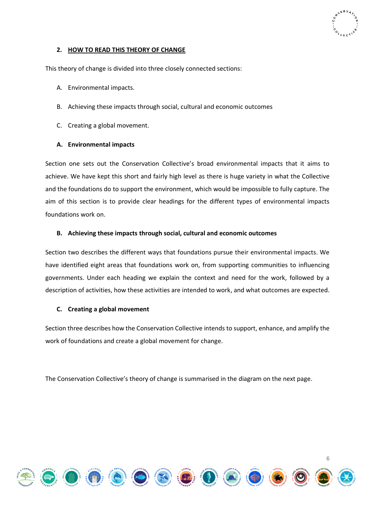

# <span id="page-5-0"></span>**2. HOW TO READ THIS THEORY OF CHANGE**

This theory of change is divided into three closely connected sections:

- A. Environmental impacts.
- B. Achieving these impacts through social, cultural and economic outcomes
- C. Creating a global movement.

# <span id="page-5-1"></span>**A. Environmental impacts**

Section one sets out the Conservation Collective's broad environmental impacts that it aims to achieve. We have kept this short and fairly high level as there is huge variety in what the Collective and the foundations do to support the environment, which would be impossible to fully capture. The aim of this section is to provide clear headings for the different types of environmental impacts foundations work on.

# <span id="page-5-2"></span>**B. Achieving these impacts through social, cultural and economic outcomes**

Section two describes the different ways that foundations pursue their environmental impacts. We have identified eight areas that foundations work on, from supporting communities to influencing governments. Under each heading we explain the context and need for the work, followed by a description of activities, how these activities are intended to work, and what outcomes are expected.

### <span id="page-5-3"></span>**C. Creating a global movement**

Section three describes how the Conservation Collective intends to support, enhance, and amplify the work of foundations and create a global movement for change.

The Conservation Collective's theory of change is summarised in the diagram on the next page.

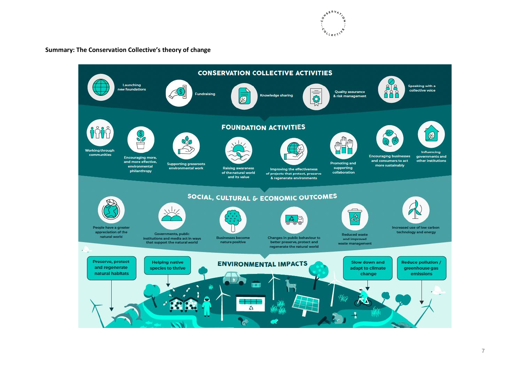

# **Summary: The Conservation Collective's theory of change**

<span id="page-6-0"></span>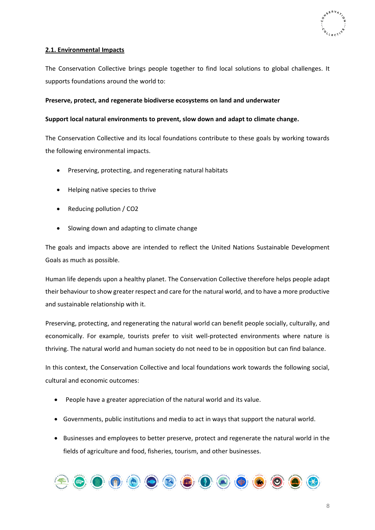

# <span id="page-7-0"></span>**2.1. Environmental Impacts**

The Conservation Collective brings people together to find local solutions to global challenges. It supports foundations around the world to:

# **Preserve, protect, and regenerate biodiverse ecosystems on land and underwater**

# **Support local natural environments to prevent, slow down and adapt to climate change.**

The Conservation Collective and its local foundations contribute to these goals by working towards the following environmental impacts.

- Preserving, protecting, and regenerating natural habitats
- Helping native species to thrive
- Reducing pollution / CO2
- Slowing down and adapting to climate change

The goals and impacts above are intended to reflect the United Nations Sustainable Development Goals as much as possible.

Human life depends upon a healthy planet. The Conservation Collective therefore helps people adapt their behaviour to show greater respect and care for the natural world, and to have a more productive and sustainable relationship with it.

Preserving, protecting, and regenerating the natural world can benefit people socially, culturally, and economically. For example, tourists prefer to visit well-protected environments where nature is thriving. The natural world and human society do not need to be in opposition but can find balance.

In this context, the Conservation Collective and local foundations work towards the following social, cultural and economic outcomes:

- People have a greater appreciation of the natural world and its value.
- Governments, public institutions and media to act in ways that support the natural world.
- Businesses and employees to better preserve, protect and regenerate the natural world in the fields of agriculture and food, fisheries, tourism, and other businesses.

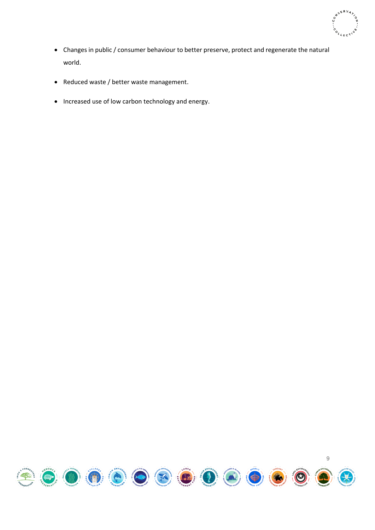

- Changes in public / consumer behaviour to better preserve, protect and regenerate the natural world.
- Reduced waste / better waste management.
- Increased use of low carbon technology and energy.

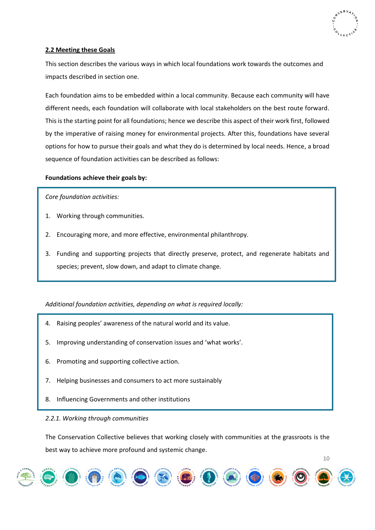

# <span id="page-9-0"></span>**2.2 Meeting these Goals**

This section describes the various ways in which local foundations work towards the outcomes and impacts described in section one.

Each foundation aims to be embedded within a local community. Because each community will have different needs, each foundation will collaborate with local stakeholders on the best route forward. This is the starting point for all foundations; hence we describe this aspect of their work first, followed by the imperative of raising money for environmental projects. After this, foundations have several options for how to pursue their goals and what they do is determined by local needs. Hence, a broad sequence of foundation activities can be described as follows:

# **Foundations achieve their goals by:**

*Core foundation activities:*

- 1. Working through communities.
- 2. Encouraging more, and more effective, environmental philanthropy.
- 3. Funding and supporting projects that directly preserve, protect, and regenerate habitats and species; prevent, slow down, and adapt to climate change.

# *Additional foundation activities, depending on what is required locally:*

- 4. Raising peoples' awareness of the natural world and its value.
- 5. Improving understanding of conservation issues and 'what works'.
- 6. Promoting and supporting collective action.
- 7. Helping businesses and consumers to act more sustainably
- 8. Influencing Governments and other institutions

# <span id="page-9-1"></span>*2.2.1. Working through communities*

The Conservation Collective believes that working closely with communities at the grassroots is the best way to achieve more profound and systemic change.

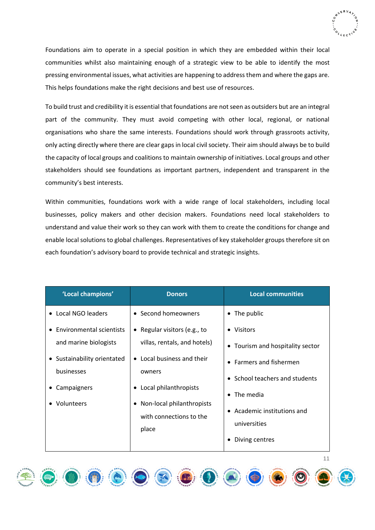

Foundations aim to operate in a special position in which they are embedded within their local communities whilst also maintaining enough of a strategic view to be able to identify the most pressing environmental issues, what activities are happening to address them and where the gaps are. This helps foundations make the right decisions and best use of resources.

To build trust and credibility it is essential that foundations are not seen as outsiders but are an integral part of the community. They must avoid competing with other local, regional, or national organisations who share the same interests. Foundations should work through grassroots activity, only acting directly where there are clear gaps in local civil society. Their aim should always be to build the capacity of local groups and coalitions to maintain ownership of initiatives. Local groups and other stakeholders should see foundations as important partners, independent and transparent in the community's best interests.

Within communities, foundations work with a wide range of local stakeholders, including local businesses, policy makers and other decision makers. Foundations need local stakeholders to understand and value their work so they can work with them to create the conditions for change and enable local solutions to global challenges. Representatives of key stakeholder groups therefore sit on each foundation's advisory board to provide technical and strategic insights.

| 'Local champions'                                                                                                                                    | <b>Donors</b>                                                                                                                                                                                   | <b>Local communities</b>                                                                                                                                          |
|------------------------------------------------------------------------------------------------------------------------------------------------------|-------------------------------------------------------------------------------------------------------------------------------------------------------------------------------------------------|-------------------------------------------------------------------------------------------------------------------------------------------------------------------|
| • Local NGO leaders                                                                                                                                  | • Second homeowners                                                                                                                                                                             | • The public                                                                                                                                                      |
| <b>Environmental scientists</b><br>$\bullet$<br>and marine biologists<br>• Sustainability orientated<br>businesses<br>Campaigners<br>٠<br>Volunteers | • Regular visitors (e.g., to<br>villas, rentals, and hotels)<br>• Local business and their<br>owners<br>Local philanthropists<br>٠<br>Non-local philanthropists<br>٠<br>with connections to the | • Visitors<br>• Tourism and hospitality sector<br>• Farmers and fishermen<br>• School teachers and students<br>$\bullet$ The media<br>• Academic institutions and |
|                                                                                                                                                      | place                                                                                                                                                                                           | universities<br>Diving centres                                                                                                                                    |

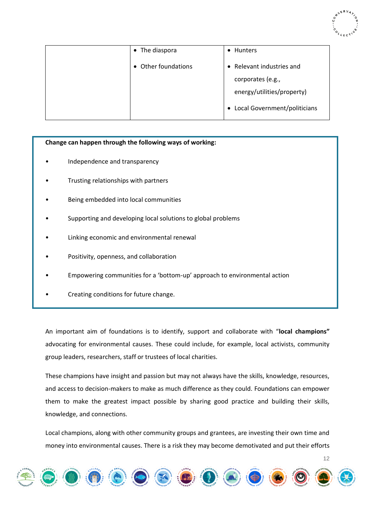

| • The diaspora      | • Hunters                      |
|---------------------|--------------------------------|
| • Other foundations | • Relevant industries and      |
|                     | corporates (e.g.,              |
|                     | energy/utilities/property)     |
|                     | • Local Government/politicians |

# **Change can happen through the following ways of working:**

- Independence and transparency
- Trusting relationships with partners
- Being embedded into local communities
- Supporting and developing local solutions to global problems
- Linking economic and environmental renewal
- Positivity, openness, and collaboration
- Empowering communities for a 'bottom-up' approach to environmental action
- Creating conditions for future change.

An important aim of foundations is to identify, support and collaborate with "**local champions"**  advocating for environmental causes. These could include, for example, local activists, community group leaders, researchers, staff or trustees of local charities.

These champions have insight and passion but may not always have the skills, knowledge, resources, and access to decision-makers to make as much difference as they could. Foundations can empower them to make the greatest impact possible by sharing good practice and building their skills, knowledge, and connections.

Local champions, along with other community groups and grantees, are investing their own time and money into environmental causes. There is a risk they may become demotivated and put their efforts

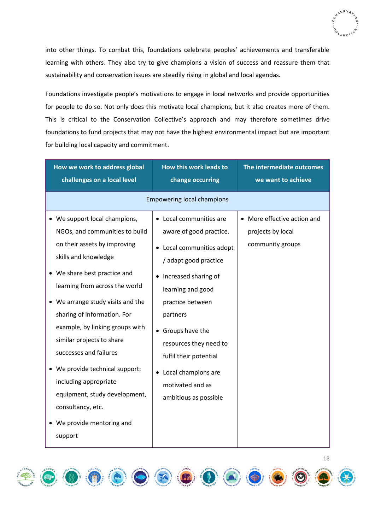

into other things. To combat this, foundations celebrate peoples' achievements and transferable learning with others. They also try to give champions a vision of success and reassure them that sustainability and conservation issues are steadily rising in global and local agendas.

Foundations investigate people's motivations to engage in local networks and provide opportunities for people to do so. Not only does this motivate local champions, but it also creates more of them. This is critical to the Conservation Collective's approach and may therefore sometimes drive foundations to fund projects that may not have the highest environmental impact but are important for building local capacity and commitment.

| How we work to address global<br>challenges on a local level                                                                                                                                                                                                                                                                                                                                                                                                                                                     | How this work leads to<br>change occurring                                                                                                                                                                                                                                                                                                      | The intermediate outcomes<br>we want to achieve                                 |
|------------------------------------------------------------------------------------------------------------------------------------------------------------------------------------------------------------------------------------------------------------------------------------------------------------------------------------------------------------------------------------------------------------------------------------------------------------------------------------------------------------------|-------------------------------------------------------------------------------------------------------------------------------------------------------------------------------------------------------------------------------------------------------------------------------------------------------------------------------------------------|---------------------------------------------------------------------------------|
|                                                                                                                                                                                                                                                                                                                                                                                                                                                                                                                  | <b>Empowering local champions</b>                                                                                                                                                                                                                                                                                                               |                                                                                 |
| • We support local champions,<br>NGOs, and communities to build<br>on their assets by improving<br>skills and knowledge<br>• We share best practice and<br>learning from across the world<br>We arrange study visits and the<br>sharing of information. For<br>example, by linking groups with<br>similar projects to share<br>successes and failures<br>• We provide technical support:<br>including appropriate<br>equipment, study development,<br>consultancy, etc.<br>• We provide mentoring and<br>support | • Local communities are<br>aware of good practice.<br>• Local communities adopt<br>/ adapt good practice<br>Increased sharing of<br>$\bullet$<br>learning and good<br>practice between<br>partners<br>• Groups have the<br>resources they need to<br>fulfil their potential<br>Local champions are<br>motivated and as<br>ambitious as possible | More effective action and<br>$\bullet$<br>projects by local<br>community groups |

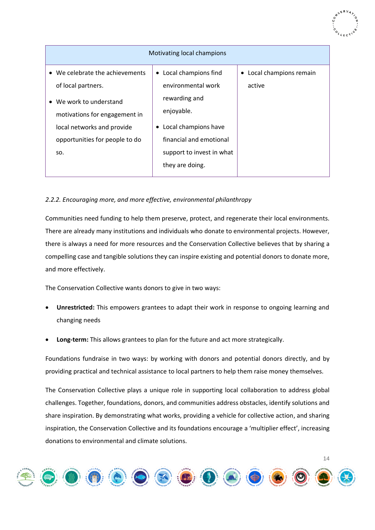| Motivating local champions      |                                   |                                     |
|---------------------------------|-----------------------------------|-------------------------------------|
| • We celebrate the achievements | • Local champions find            | Local champions remain<br>$\bullet$ |
| of local partners.              | environmental work                | active                              |
| • We work to understand         | rewarding and                     |                                     |
| motivations for engagement in   | enjoyable.                        |                                     |
| local networks and provide      | Local champions have<br>$\bullet$ |                                     |
| opportunities for people to do  | financial and emotional           |                                     |
| SO.                             | support to invest in what         |                                     |
|                                 | they are doing.                   |                                     |

# <span id="page-13-0"></span>*2.2.2. Encouraging more, and more effective, environmental philanthropy*

Communities need funding to help them preserve, protect, and regenerate their local environments. There are already many institutions and individuals who donate to environmental projects. However, there is always a need for more resources and the Conservation Collective believes that by sharing a compelling case and tangible solutions they can inspire existing and potential donors to donate more, and more effectively.

The Conservation Collective wants donors to give in two ways:

- **Unrestricted:** This empowers grantees to adapt their work in response to ongoing learning and changing needs
- **Long-term:** This allows grantees to plan for the future and act more strategically.

Foundations fundraise in two ways: by working with donors and potential donors directly, and by providing practical and technical assistance to local partners to help them raise money themselves.

The Conservation Collective plays a unique role in supporting local collaboration to address global challenges. Together, foundations, donors, and communities address obstacles, identify solutions and share inspiration. By demonstrating what works, providing a vehicle for collective action, and sharing inspiration, the Conservation Collective and its foundations encourage a 'multiplier effect', increasing donations to environmental and climate solutions.

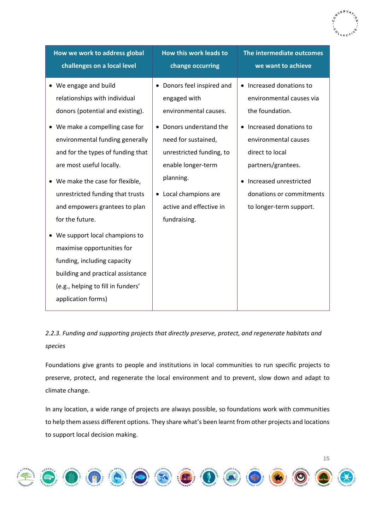| How we work to address global              | How this work leads to     | The intermediate outcomes |
|--------------------------------------------|----------------------------|---------------------------|
| challenges on a local level                | change occurring           | we want to achieve        |
| • We engage and build                      | • Donors feel inspired and | • Increased donations to  |
| relationships with individual              | engaged with               | environmental causes via  |
| donors (potential and existing).           | environmental causes.      | the foundation.           |
| We make a compelling case for<br>$\bullet$ | Donors understand the      | • Increased donations to  |
| environmental funding generally            | need for sustained,        | environmental causes      |
| and for the types of funding that          | unrestricted funding, to   | direct to local           |
| are most useful locally.                   | enable longer-term         | partners/grantees.        |
| We make the case for flexible,             | planning.                  | Increased unrestricted    |
| unrestricted funding that trusts           | • Local champions are      | donations or commitments  |
| and empowers grantees to plan              | active and effective in    | to longer-term support.   |
| for the future.                            | fundraising.               |                           |
| We support local champions to              |                            |                           |
| maximise opportunities for                 |                            |                           |
| funding, including capacity                |                            |                           |
| building and practical assistance          |                            |                           |
| (e.g., helping to fill in funders'         |                            |                           |
| application forms)                         |                            |                           |

# <span id="page-14-0"></span>*2.2.3. Funding and supporting projects that directly preserve, protect, and regenerate habitats and species*

Foundations give grants to people and institutions in local communities to run specific projects to preserve, protect, and regenerate the local environment and to prevent, slow down and adapt to climate change.

In any location, a wide range of projects are always possible, so foundations work with communities to help them assess different options. They share what's been learnt from other projects and locations to support local decision making.

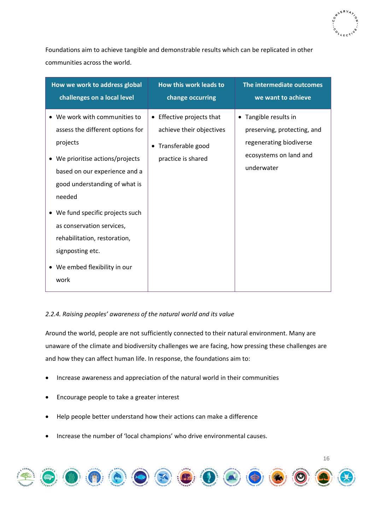

Foundations aim to achieve tangible and demonstrable results which can be replicated in other communities across the world.

| How we work to address global                                                                                                                                                                                                                                                                                                                           | How this work leads to                                                                                      | The intermediate outcomes                                                                                               |
|---------------------------------------------------------------------------------------------------------------------------------------------------------------------------------------------------------------------------------------------------------------------------------------------------------------------------------------------------------|-------------------------------------------------------------------------------------------------------------|-------------------------------------------------------------------------------------------------------------------------|
| challenges on a local level                                                                                                                                                                                                                                                                                                                             | change occurring                                                                                            | we want to achieve                                                                                                      |
| • We work with communities to<br>assess the different options for<br>projects<br>We prioritise actions/projects<br>based on our experience and a<br>good understanding of what is<br>needed<br>We fund specific projects such<br>as conservation services,<br>rehabilitation, restoration,<br>signposting etc.<br>• We embed flexibility in our<br>work | Effective projects that<br>$\bullet$<br>achieve their objectives<br>Transferable good<br>practice is shared | • Tangible results in<br>preserving, protecting, and<br>regenerating biodiverse<br>ecosystems on land and<br>underwater |

# <span id="page-15-0"></span>*2.2.4. Raising peoples' awareness of the natural world and its value*

Around the world, people are not sufficiently connected to their natural environment. Many are unaware of the climate and biodiversity challenges we are facing, how pressing these challenges are and how they can affect human life. In response, the foundations aim to:

- Increase awareness and appreciation of the natural world in their communities
- Encourage people to take a greater interest
- Help people better understand how their actions can make a difference
- Increase the number of 'local champions' who drive environmental causes.

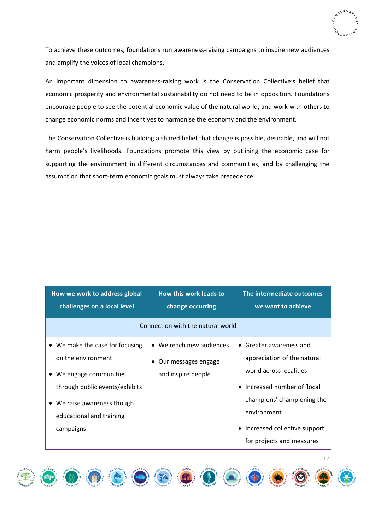

To achieve these outcomes, foundations run awareness-raising campaigns to inspire new audiences and amplify the voices of local champions.

An important dimension to awareness-raising work is the Conservation Collective's belief that economic prosperity and environmental sustainability do not need to be in opposition. Foundations encourage people to see the potential economic value of the natural world, and work with others to change economic norms and incentives to harmonise the economy and the environment.

The Conservation Collective is building a shared belief that change is possible, desirable, and will not harm people's livelihoods. Foundations promote this view by outlining the economic case for supporting the environment in different circumstances and communities, and by challenging the assumption that short-term economic goals must always take precedence.

| How we work to address global<br>challenges on a local level                                                                                                                               | How this work leads to<br>change occurring                            | The intermediate outcomes<br>we want to achieve                                                                                                                                                                      |
|--------------------------------------------------------------------------------------------------------------------------------------------------------------------------------------------|-----------------------------------------------------------------------|----------------------------------------------------------------------------------------------------------------------------------------------------------------------------------------------------------------------|
| Connection with the natural world                                                                                                                                                          |                                                                       |                                                                                                                                                                                                                      |
| • We make the case for focusing<br>on the environment<br>• We engage communities<br>through public events/exhibits<br>• We raise awareness though<br>educational and training<br>campaigns | • We reach new audiences<br>Our messages engage<br>and inspire people | Greater awareness and<br>$\bullet$<br>appreciation of the natural<br>world across localities<br>Increased number of 'local<br>champions' championing the<br>environment<br>Increased collective support<br>$\bullet$ |

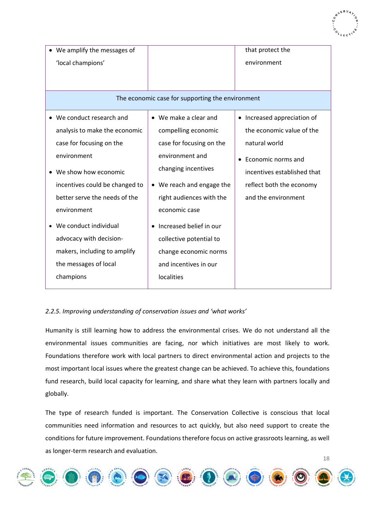| We amplify the messages of<br>'local champions'                                                                                                                                                                                                                                                                                             |                                                                                                                                                                                                                                                                                                                    | that protect the<br>environment                                                                                                                                                   |
|---------------------------------------------------------------------------------------------------------------------------------------------------------------------------------------------------------------------------------------------------------------------------------------------------------------------------------------------|--------------------------------------------------------------------------------------------------------------------------------------------------------------------------------------------------------------------------------------------------------------------------------------------------------------------|-----------------------------------------------------------------------------------------------------------------------------------------------------------------------------------|
|                                                                                                                                                                                                                                                                                                                                             | The economic case for supporting the environment                                                                                                                                                                                                                                                                   |                                                                                                                                                                                   |
| • We conduct research and<br>analysis to make the economic<br>case for focusing on the<br>environment<br>• We show how economic<br>incentives could be changed to<br>better serve the needs of the<br>environment<br>We conduct individual<br>advocacy with decision-<br>makers, including to amplify<br>the messages of local<br>champions | • We make a clear and<br>compelling economic<br>case for focusing on the<br>environment and<br>changing incentives<br>• We reach and engage the<br>right audiences with the<br>economic case<br>Increased belief in our<br>collective potential to<br>change economic norms<br>and incentives in our<br>localities | • Increased appreciation of<br>the economic value of the<br>natural world<br>Economic norms and<br>incentives established that<br>reflect both the economy<br>and the environment |

# <span id="page-17-0"></span>*2.2.5. Improving understanding of conservation issues and 'what works'*

Humanity is still learning how to address the environmental crises. We do not understand all the environmental issues communities are facing, nor which initiatives are most likely to work. Foundations therefore work with local partners to direct environmental action and projects to the most important local issues where the greatest change can be achieved. To achieve this, foundations fund research, build local capacity for learning, and share what they learn with partners locally and globally.

The type of research funded is important. The Conservation Collective is conscious that local communities need information and resources to act quickly, but also need support to create the conditions for future improvement. Foundations therefore focus on active grassroots learning, as well as longer-term research and evaluation.

18

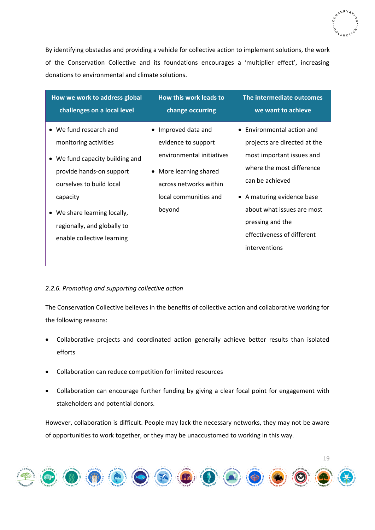

By identifying obstacles and providing a vehicle for collective action to implement solutions, the work of the Conservation Collective and its foundations encourages a 'multiplier effect', increasing donations to environmental and climate solutions.

| How we work to address global                                                                                                                                                                                                                       | <b>How this work leads to</b>                                                                                                                                                        | The intermediate outcomes                                                                                                                                                                                                                                              |
|-----------------------------------------------------------------------------------------------------------------------------------------------------------------------------------------------------------------------------------------------------|--------------------------------------------------------------------------------------------------------------------------------------------------------------------------------------|------------------------------------------------------------------------------------------------------------------------------------------------------------------------------------------------------------------------------------------------------------------------|
| challenges on a local level                                                                                                                                                                                                                         | change occurring                                                                                                                                                                     | we want to achieve                                                                                                                                                                                                                                                     |
| • We fund research and<br>monitoring activities<br>• We fund capacity building and<br>provide hands-on support<br>ourselves to build local<br>capacity<br>• We share learning locally,<br>regionally, and globally to<br>enable collective learning | Improved data and<br>$\bullet$<br>evidence to support<br>environmental initiatives<br>More learning shared<br>$\bullet$<br>across networks within<br>local communities and<br>beyond | • Environmental action and<br>projects are directed at the<br>most important issues and<br>where the most difference<br>can be achieved<br>• A maturing evidence base<br>about what issues are most<br>pressing and the<br>effectiveness of different<br>interventions |

# <span id="page-18-0"></span>*2.2.6. Promoting and supporting collective action*

The Conservation Collective believes in the benefits of collective action and collaborative working for the following reasons:

- Collaborative projects and coordinated action generally achieve better results than isolated efforts
- Collaboration can reduce competition for limited resources
- Collaboration can encourage further funding by giving a clear focal point for engagement with stakeholders and potential donors.

However, collaboration is difficult. People may lack the necessary networks, they may not be aware of opportunities to work together, or they may be unaccustomed to working in this way.

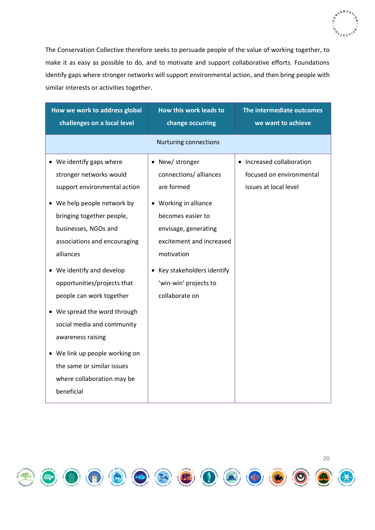

The Conservation Collective therefore seeks to persuade people of the value of working together, to make it as easy as possible to do, and to motivate and support collaborative efforts. Foundations identify gaps where stronger networks will support environmental action, and then bring people with similar interests or activities together.

| How we work to address global                                                                                                                                                                                                                                                                                                                                                                                                                                                                             | How this work leads to                                                                                                                                                                                                                           | The intermediate outcomes                                                      |
|-----------------------------------------------------------------------------------------------------------------------------------------------------------------------------------------------------------------------------------------------------------------------------------------------------------------------------------------------------------------------------------------------------------------------------------------------------------------------------------------------------------|--------------------------------------------------------------------------------------------------------------------------------------------------------------------------------------------------------------------------------------------------|--------------------------------------------------------------------------------|
| challenges on a local level                                                                                                                                                                                                                                                                                                                                                                                                                                                                               | change occurring                                                                                                                                                                                                                                 | we want to achieve                                                             |
|                                                                                                                                                                                                                                                                                                                                                                                                                                                                                                           | <b>Nurturing connections</b>                                                                                                                                                                                                                     |                                                                                |
| • We identify gaps where<br>stronger networks would<br>support environmental action<br>• We help people network by<br>bringing together people,<br>businesses, NGOs and<br>associations and encouraging<br>alliances<br>We identify and develop<br>opportunities/projects that<br>people can work together<br>• We spread the word through<br>social media and community<br>awareness raising<br>• We link up people working on<br>the same or similar issues<br>where collaboration may be<br>beneficial | • New/stronger<br>connections/ alliances<br>are formed<br>• Working in alliance<br>becomes easier to<br>envisage, generating<br>excitement and increased<br>motivation<br>• Key stakeholders identify<br>'win-win' projects to<br>collaborate on | • Increased collaboration<br>focused on environmental<br>issues at local level |

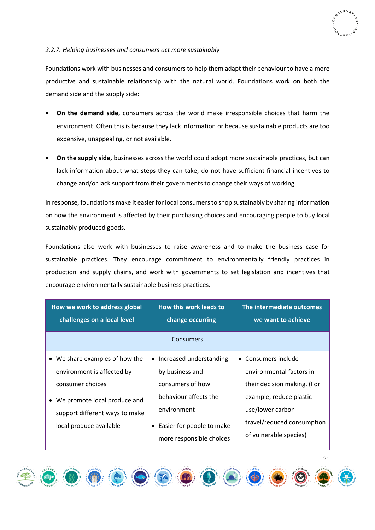# <span id="page-20-0"></span>*2.2.7. Helping businesses and consumers act more sustainably*

Foundations work with businesses and consumers to help them adapt their behaviour to have a more productive and sustainable relationship with the natural world. Foundations work on both the demand side and the supply side:

- **On the demand side,** consumers across the world make irresponsible choices that harm the environment. Often this is because they lack information or because sustainable products are too expensive, unappealing, or not available.
- **On the supply side,** businesses across the world could adopt more sustainable practices, but can lack information about what steps they can take, do not have sufficient financial incentives to change and/or lack support from their governments to change their ways of working.

In response, foundations make it easier for local consumers to shop sustainably by sharing information on how the environment is affected by their purchasing choices and encouraging people to buy local sustainably produced goods.

Foundations also work with businesses to raise awareness and to make the business case for sustainable practices. They encourage commitment to environmentally friendly practices in production and supply chains, and work with governments to set legislation and incentives that encourage environmentally sustainable business practices.

| How we work to address global  | <b>How this work leads to</b>                           | <b>The intermediate outcomes</b>                     |
|--------------------------------|---------------------------------------------------------|------------------------------------------------------|
| challenges on a local level    | change occurring                                        | we want to achieve                                   |
|                                | Consumers                                               |                                                      |
| • We share examples of how the | • Increased understanding                               | • Consumers include                                  |
| environment is affected by     | by business and                                         | environmental factors in                             |
| consumer choices               | consumers of how                                        | their decision making. (For                          |
| We promote local produce and   | behaviour affects the                                   | example, reduce plastic                              |
| support different ways to make | environment                                             | use/lower carbon                                     |
| local produce available        | • Easier for people to make<br>more responsible choices | travel/reduced consumption<br>of vulnerable species) |



21









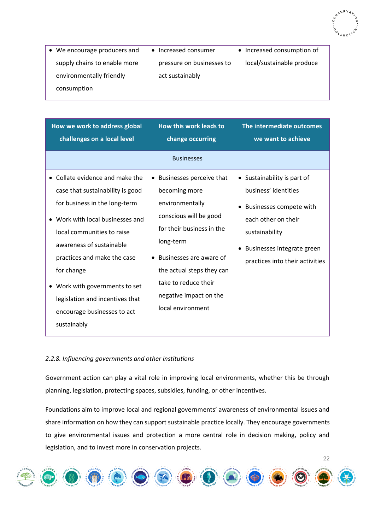

| • We encourage producers and | Increased consumer        | Increased consumption of<br>$\bullet$ |
|------------------------------|---------------------------|---------------------------------------|
| supply chains to enable more | pressure on businesses to | local/sustainable produce             |
| environmentally friendly     | act sustainably           |                                       |
| consumption                  |                           |                                       |
|                              |                           |                                       |

| challenges on a local level                                                                                                                                                                                                                                                                                                                                                   | change occurring                                                                                                                                                                                                                                                  | The intermediate outcomes<br>we want to achieve                                                                                                                                               |
|-------------------------------------------------------------------------------------------------------------------------------------------------------------------------------------------------------------------------------------------------------------------------------------------------------------------------------------------------------------------------------|-------------------------------------------------------------------------------------------------------------------------------------------------------------------------------------------------------------------------------------------------------------------|-----------------------------------------------------------------------------------------------------------------------------------------------------------------------------------------------|
|                                                                                                                                                                                                                                                                                                                                                                               | <b>Businesses</b>                                                                                                                                                                                                                                                 |                                                                                                                                                                                               |
| • Collate evidence and make the<br>case that sustainability is good<br>for business in the long-term<br>Work with local businesses and<br>local communities to raise<br>awareness of sustainable<br>practices and make the case<br>$\bullet$<br>for change<br>• Work with governments to set<br>legislation and incentives that<br>encourage businesses to act<br>sustainably | • Businesses perceive that<br>becoming more<br>environmentally<br>conscious will be good<br>for their business in the<br>long-term<br>Businesses are aware of<br>the actual steps they can<br>take to reduce their<br>negative impact on the<br>local environment | • Sustainability is part of<br>business' identities<br>Businesses compete with<br>٠<br>each other on their<br>sustainability<br>Businesses integrate green<br>practices into their activities |

# <span id="page-21-0"></span>*2.2.8. Influencing governments and other institutions*

Government action can play a vital role in improving local environments, whether this be through planning, legislation, protecting spaces, subsidies, funding, or other incentives.

Foundations aim to improve local and regional governments' awareness of environmental issues and share information on how they can support sustainable practice locally. They encourage governments to give environmental issues and protection a more central role in decision making, policy and legislation, and to invest more in conservation projects.

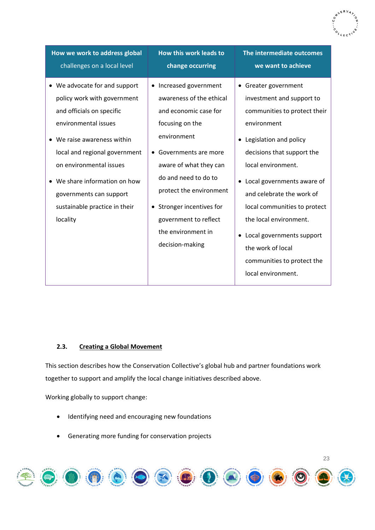| How we work to address global                                                                                                                                                                                                                                                                                         | How this work leads to                                                                                                                                                                                                                                                                                                         | The intermediate outcomes                                                                                                                                                                                                                                                                                                                                                                                     |
|-----------------------------------------------------------------------------------------------------------------------------------------------------------------------------------------------------------------------------------------------------------------------------------------------------------------------|--------------------------------------------------------------------------------------------------------------------------------------------------------------------------------------------------------------------------------------------------------------------------------------------------------------------------------|---------------------------------------------------------------------------------------------------------------------------------------------------------------------------------------------------------------------------------------------------------------------------------------------------------------------------------------------------------------------------------------------------------------|
| challenges on a local level                                                                                                                                                                                                                                                                                           | change occurring                                                                                                                                                                                                                                                                                                               | we want to achieve                                                                                                                                                                                                                                                                                                                                                                                            |
| • We advocate for and support<br>policy work with government<br>and officials on specific<br>environmental issues<br>• We raise awareness within<br>local and regional government<br>on environmental issues<br>• We share information on how<br>governments can support<br>sustainable practice in their<br>locality | Increased government<br>$\bullet$<br>awareness of the ethical<br>and economic case for<br>focusing on the<br>environment<br>• Governments are more<br>aware of what they can<br>do and need to do to<br>protect the environment<br>• Stronger incentives for<br>government to reflect<br>the environment in<br>decision-making | • Greater government<br>investment and support to<br>communities to protect their<br>environment<br>Legislation and policy<br>decisions that support the<br>local environment.<br>• Local governments aware of<br>and celebrate the work of<br>local communities to protect<br>the local environment.<br>• Local governments support<br>the work of local<br>communities to protect the<br>local environment. |

# <span id="page-22-0"></span>**2.3. Creating a Global Movement**

This section describes how the Conservation Collective's global hub and partner foundations work together to support and amplify the local change initiatives described above.

Working globally to support change:

- Identifying need and encouraging new foundations
- Generating more funding for conservation projects

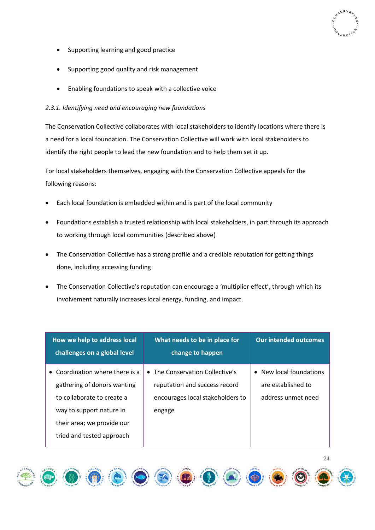- Supporting learning and good practice
- Supporting good quality and risk management
- Enabling foundations to speak with a collective voice

# <span id="page-23-0"></span>*2.3.1. Identifying need and encouraging new foundations*

The Conservation Collective collaborates with local stakeholders to identify locations where there is a need for a local foundation. The Conservation Collective will work with local stakeholders to identify the right people to lead the new foundation and to help them set it up.

For local stakeholders themselves, engaging with the Conservation Collective appeals for the following reasons:

- Each local foundation is embedded within and is part of the local community
- Foundations establish a trusted relationship with local stakeholders, in part through its approach to working through local communities (described above)
- The Conservation Collective has a strong profile and a credible reputation for getting things done, including accessing funding
- The Conservation Collective's reputation can encourage a 'multiplier effect', through which its involvement naturally increases local energy, funding, and impact.

| How we help to address local<br>challenges on a global level | What needs to be in place for<br>change to happen | <b>Our intended outcomes</b>       |
|--------------------------------------------------------------|---------------------------------------------------|------------------------------------|
| Coordination where there is a<br>$\bullet$                   | The Conservation Collective's                     | New local foundations<br>$\bullet$ |
| gathering of donors wanting                                  | reputation and success record                     | are established to                 |
| to collaborate to create a                                   | encourages local stakeholders to                  | address unmet need                 |
| way to support nature in                                     | engage                                            |                                    |
| their area; we provide our                                   |                                                   |                                    |
| tried and tested approach                                    |                                                   |                                    |



24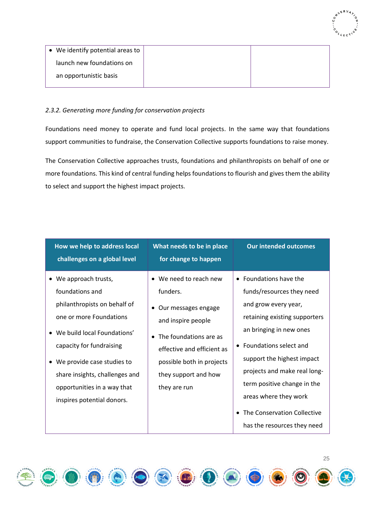

| • We identify potential areas to |  |
|----------------------------------|--|
| launch new foundations on        |  |
| an opportunistic basis           |  |

# <span id="page-24-0"></span>*2.3.2. Generating more funding for conservation projects*

Foundations need money to operate and fund local projects. In the same way that foundations support communities to fundraise, the Conservation Collective supports foundations to raise money.

The Conservation Collective approaches trusts, foundations and philanthropists on behalf of one or more foundations. This kind of central funding helps foundations to flourish and gives them the ability to select and support the highest impact projects.

| How we help to address local<br>challenges on a global level                                                                                                                                                                                                                                    | What needs to be in place<br>for change to happen                                                                                                                                                                | <b>Our intended outcomes</b>                                                                                                                                                                                                                                                                                                                                         |
|-------------------------------------------------------------------------------------------------------------------------------------------------------------------------------------------------------------------------------------------------------------------------------------------------|------------------------------------------------------------------------------------------------------------------------------------------------------------------------------------------------------------------|----------------------------------------------------------------------------------------------------------------------------------------------------------------------------------------------------------------------------------------------------------------------------------------------------------------------------------------------------------------------|
| • We approach trusts,<br>foundations and<br>philanthropists on behalf of<br>one or more Foundations<br>• We build local Foundations'<br>capacity for fundraising<br>• We provide case studies to<br>share insights, challenges and<br>opportunities in a way that<br>inspires potential donors. | • We need to reach new<br>funders.<br>• Our messages engage<br>and inspire people<br>• The foundations are as<br>effective and efficient as<br>possible both in projects<br>they support and how<br>they are run | • Foundations have the<br>funds/resources they need<br>and grow every year,<br>retaining existing supporters<br>an bringing in new ones<br>• Foundations select and<br>support the highest impact<br>projects and make real long-<br>term positive change in the<br>areas where they work<br>The Conservation Collective<br>$\bullet$<br>has the resources they need |

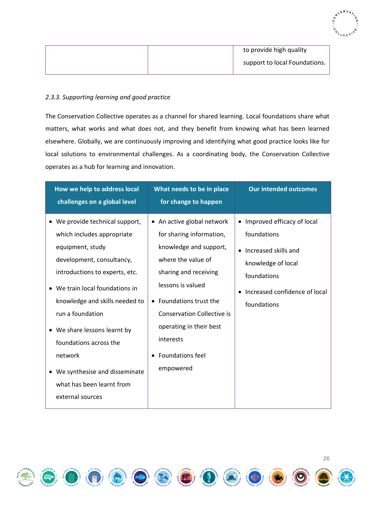|  | to provide high quality       |
|--|-------------------------------|
|  | support to local Foundations. |
|  |                               |

### <span id="page-25-0"></span>*2.3.3. Supporting learning and good practice*

The Conservation Collective operates as a channel for shared learning. Local foundations share what matters, what works and what does not, and they benefit from knowing what has been learned elsewhere. Globally, we are continuously improving and identifying what good practice looks like for local solutions to environmental challenges. As a coordinating body, the Conservation Collective operates as a hub for learning and innovation.

| How we help to address local<br>challenges on a global level                                                                                                                                                                                                                                                                                                                                       | What needs to be in place<br>for change to happen                                                                                                                                                                                                                                                    | <b>Our intended outcomes</b>                                                                                                                                                       |
|----------------------------------------------------------------------------------------------------------------------------------------------------------------------------------------------------------------------------------------------------------------------------------------------------------------------------------------------------------------------------------------------------|------------------------------------------------------------------------------------------------------------------------------------------------------------------------------------------------------------------------------------------------------------------------------------------------------|------------------------------------------------------------------------------------------------------------------------------------------------------------------------------------|
| • We provide technical support,<br>which includes appropriate<br>equipment, study<br>development, consultancy,<br>introductions to experts, etc.<br>• We train local foundations in<br>knowledge and skills needed to<br>run a foundation<br>• We share lessons learnt by<br>foundations across the<br>network<br>• We synthesise and disseminate<br>what has been learnt from<br>external sources | • An active global network<br>for sharing information,<br>knowledge and support,<br>where the value of<br>sharing and receiving<br>lessons is valued<br>• Foundations trust the<br><b>Conservation Collective is</b><br>operating in their best<br>interests<br><b>Foundations feel</b><br>empowered | • Improved efficacy of local<br>foundations<br>Increased skills and<br>$\bullet$<br>knowledge of local<br>foundations<br>Increased confidence of local<br>$\bullet$<br>foundations |

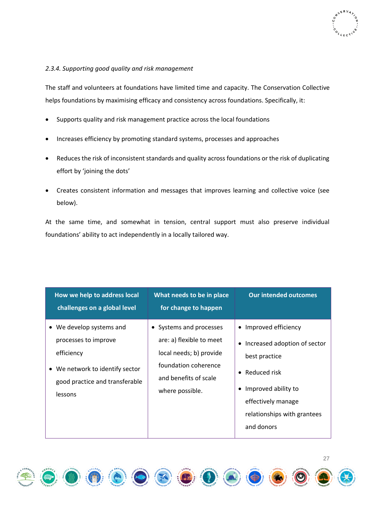# <span id="page-26-0"></span>*2.3.4. Supporting good quality and risk management*

The staff and volunteers at foundations have limited time and capacity. The Conservation Collective helps foundations by maximising efficacy and consistency across foundations. Specifically, it:

- Supports quality and risk management practice across the local foundations
- Increases efficiency by promoting standard systems, processes and approaches
- Reduces the risk of inconsistent standards and quality across foundations or the risk of duplicating effort by 'joining the dots'
- Creates consistent information and messages that improves learning and collective voice (see below).

At the same time, and somewhat in tension, central support must also preserve individual foundations' ability to act independently in a locally tailored way.

| How we help to address local<br>challenges on a global level | What needs to be in place<br>for change to happen | <b>Our intended outcomes</b>              |
|--------------------------------------------------------------|---------------------------------------------------|-------------------------------------------|
| We develop systems and<br>$\bullet$                          | • Systems and processes                           | • Improved efficiency                     |
| processes to improve                                         | are: a) flexible to meet                          | Increased adoption of sector<br>$\bullet$ |
| efficiency                                                   | local needs; b) provide                           | best practice                             |
| We network to identify sector<br>$\bullet$                   | foundation coherence                              | • Reduced risk                            |
| good practice and transferable                               | and benefits of scale                             |                                           |
| lessons                                                      | where possible.                                   | Improved ability to                       |
|                                                              |                                                   | effectively manage                        |
|                                                              |                                                   | relationships with grantees               |
|                                                              |                                                   | and donors                                |
|                                                              |                                                   |                                           |

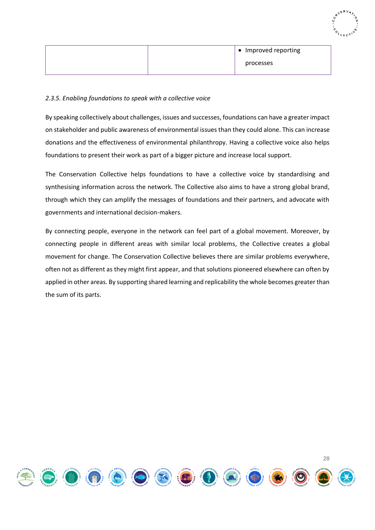| <b>SERVA</b> |
|--------------|
| Ù            |
|              |
| 425          |

|  | • Improved reporting |
|--|----------------------|
|  | processes            |

# <span id="page-27-0"></span>*2.3.5. Enabling foundations to speak with a collective voice*

By speaking collectively about challenges, issues and successes, foundations can have a greater impact on stakeholder and public awareness of environmental issues than they could alone. This can increase donations and the effectiveness of environmental philanthropy. Having a collective voice also helps foundations to present their work as part of a bigger picture and increase local support.

The Conservation Collective helps foundations to have a collective voice by standardising and synthesising information across the network. The Collective also aims to have a strong global brand, through which they can amplify the messages of foundations and their partners, and advocate with governments and international decision-makers.

By connecting people, everyone in the network can feel part of a global movement. Moreover, by connecting people in different areas with similar local problems, the Collective creates a global movement for change. The Conservation Collective believes there are similar problems everywhere, often not as different as they might first appear, and that solutions pioneered elsewhere can often by applied in other areas. By supporting shared learning and replicability the whole becomes greater than the sum of its parts.

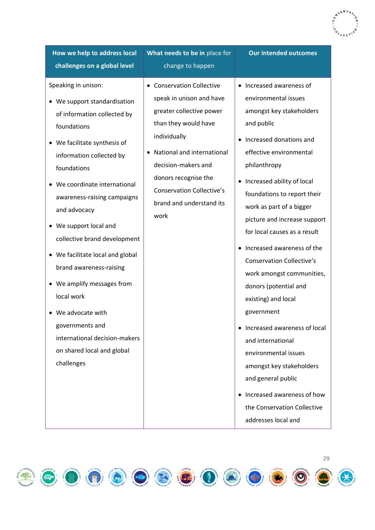**How we help to address local challenges on a global level**

# Speaking in unison:

- We support standardisation of information collected by foundations
- We facilitate synthesis of information collected by foundations
- We coordinate international awareness-raising campaigns and advocacy
- We support local and collective brand development
- We facilitate local and global brand awareness-raising
- We amplify messages from local work
- We advocate with governments and international decision-makers on shared local and global challenges

**What needs to be in** place for change to happen

- Conservation Collective speak in unison and have greater collective power than they would have individually
- National and international decision-makers and donors recognise the Conservation Collective's brand and understand its work

**Our intended outcomes**

- Increased awareness of environmental issues amongst key stakeholders and public
- Increased donations and effective environmental philanthropy
- Increased ability of local foundations to report their work as part of a bigger picture and increase support for local causes as a result
- Increased awareness of the Conservation Collective's work amongst communities, donors (potential and existing) and local government
- Increased awareness of local and international environmental issues amongst key stakeholders and general public
- Increased awareness of how the Conservation Collective addresses local and

29

 $\mathbf{D} \bullet \mathbf{O} \bullet \mathbf{O} \bullet \mathbf{O}$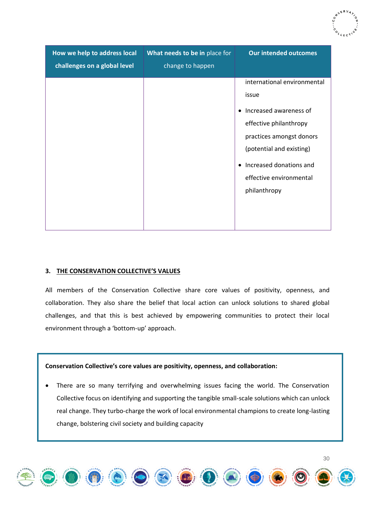| How we help to address local<br>challenges on a global level | What needs to be in place for<br>change to happen | <b>Our intended outcomes</b>                                                                                                                                                                                                                     |
|--------------------------------------------------------------|---------------------------------------------------|--------------------------------------------------------------------------------------------------------------------------------------------------------------------------------------------------------------------------------------------------|
|                                                              |                                                   | international environmental<br>issue<br>Increased awareness of<br>$\bullet$<br>effective philanthropy<br>practices amongst donors<br>(potential and existing)<br>Increased donations and<br>$\bullet$<br>effective environmental<br>philanthropy |

# <span id="page-29-0"></span>**3. THE CONSERVATION COLLECTIVE'S VALUES**

All members of the Conservation Collective share core values of positivity, openness, and collaboration. They also share the belief that local action can unlock solutions to shared global challenges, and that this is best achieved by empowering communities to protect their local environment through a 'bottom-up' approach.

### **Conservation Collective's core values are positivity, openness, and collaboration:**

There are so many terrifying and overwhelming issues facing the world. The Conservation Collective focus on identifying and supporting the tangible small-scale solutions which can unlock real change. They turbo-charge the work of local environmental champions to create long-lasting change, bolstering civil society and building capacity



30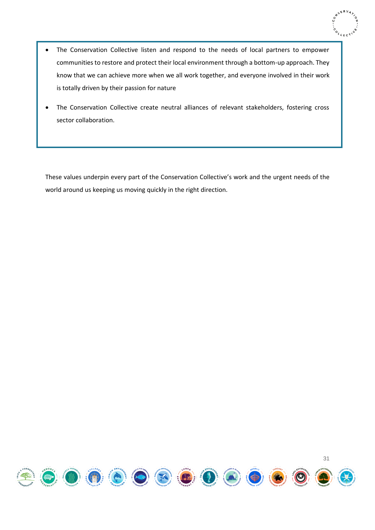

- The Conservation Collective listen and respond to the needs of local partners to empower communities to restore and protect their local environment through a bottom-up approach. They know that we can achieve more when we all work together, and everyone involved in their work is totally driven by their passion for nature
- The Conservation Collective create neutral alliances of relevant stakeholders, fostering cross sector collaboration.

<span id="page-30-0"></span>These values underpin every part of the Conservation Collective's work and the urgent needs of the world around us keeping us moving quickly in the right direction.

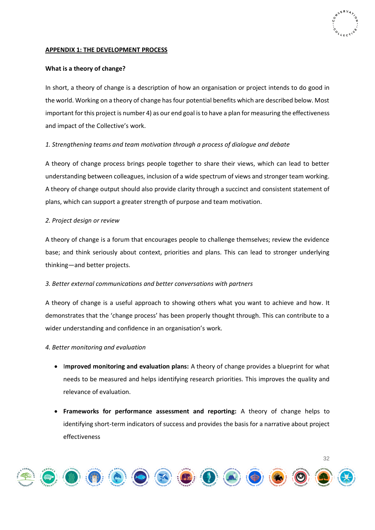### **APPENDIX 1: THE DEVELOPMENT PROCESS**

# <span id="page-31-0"></span>**What is a theory of change?**

In short, a theory of change is a description of how an organisation or project intends to do good in the world. Working on a theory of change has four potential benefits which are described below. Most important for this project is number 4) as our end goal is to have a plan for measuring the effectiveness and impact of the Collective's work.

# <span id="page-31-1"></span>*1. Strengthening teams and team motivation through a process of dialogue and debate*

A theory of change process brings people together to share their views, which can lead to better understanding between colleagues, inclusion of a wide spectrum of views and stronger team working. A theory of change output should also provide clarity through a succinct and consistent statement of plans, which can support a greater strength of purpose and team motivation.

# <span id="page-31-2"></span>*2. Project design or review*

A theory of change is a forum that encourages people to challenge themselves; review the evidence base; and think seriously about context, priorities and plans. This can lead to stronger underlying thinking—and better projects.

# <span id="page-31-3"></span>*3. Better external communications and better conversations with partners*

A theory of change is a useful approach to showing others what you want to achieve and how. It demonstrates that the 'change process' has been properly thought through. This can contribute to a wider understanding and confidence in an organisation's work.

### <span id="page-31-4"></span>*4. Better monitoring and evaluation*

- I**mproved monitoring and evaluation plans:** A theory of change provides a blueprint for what needs to be measured and helps identifying research priorities. This improves the quality and relevance of evaluation.
- **Frameworks for performance assessment and reporting:** A theory of change helps to identifying short-term indicators of success and provides the basis for a narrative about project effectiveness